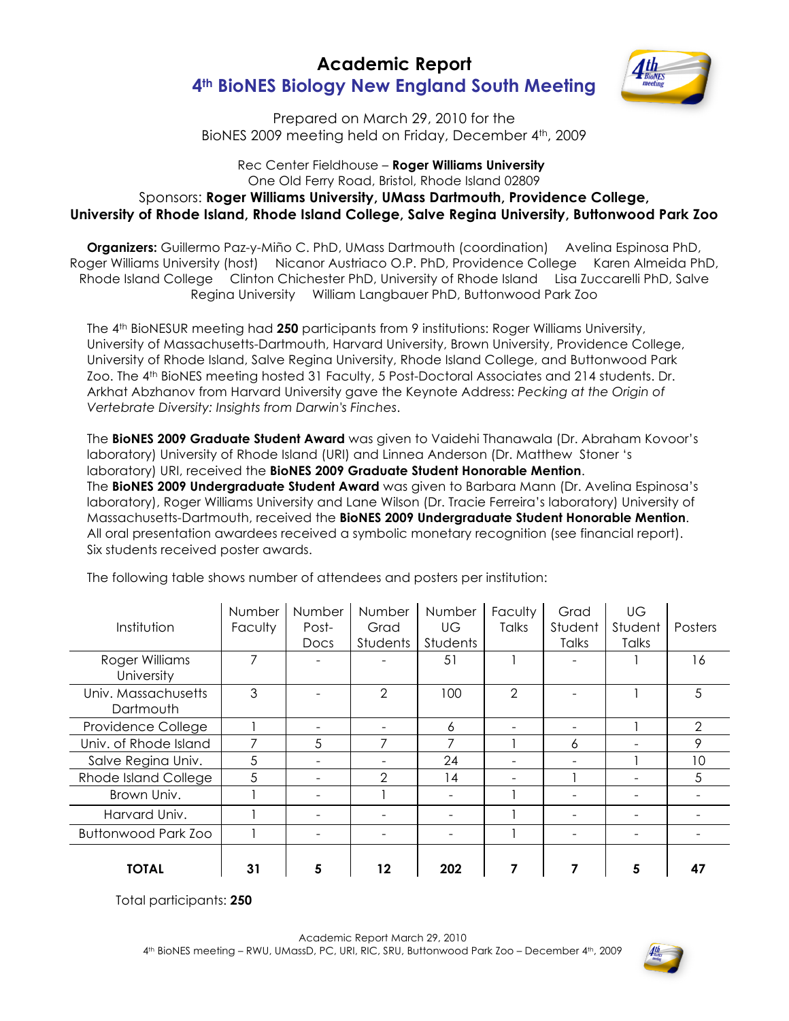## **Academic Report 4th BioNES Biology New England South Meeting**



Prepared on March 29, 2010 for the BioNES 2009 meeting held on Friday, December 4<sup>th</sup>, 2009

## Rec Center Fieldhouse – **Roger Williams University** One Old Ferry Road, Bristol, Rhode Island 02809 Sponsors: **Roger Williams University, UMass Dartmouth, Providence College, University of Rhode Island, Rhode Island College, Salve Regina University, Buttonwood Park Zoo**

**Organizers:** Guillermo Paz-y-Miño C. PhD, UMass Dartmouth (coordination) Avelina Espinosa PhD, Roger Williams University (host) Nicanor Austriaco O.P. PhD, Providence College Karen Almeida PhD, Rhode Island College Clinton Chichester PhD, University of Rhode Island Lisa Zuccarelli PhD, Salve Regina University William Langbauer PhD, Buttonwood Park Zoo

The 4th BioNESUR meeting had **250** participants from 9 institutions: Roger Williams University, University of Massachusetts-Dartmouth, Harvard University, Brown University, Providence College, University of Rhode Island, Salve Regina University, Rhode Island College, and Buttonwood Park Zoo. The 4<sup>th</sup> BioNES meeting hosted 31 Faculty, 5 Post-Doctoral Associates and 214 students. Dr. Arkhat Abzhanov from Harvard University gave the Keynote Address: *Pecking at the Origin of Vertebrate Diversity: Insights from Darwin's Finches*.

The **BioNES 2009 Graduate Student Award** was given to Vaidehi Thanawala (Dr. Abraham Kovoor's laboratory) University of Rhode Island (URI) and Linnea Anderson (Dr. Matthew Stoner 's laboratory) URI, received the **BioNES 2009 Graduate Student Honorable Mention**. The **BioNES 2009 Undergraduate Student Award** was given to Barbara Mann (Dr. Avelina Espinosa's laboratory), Roger Williams University and Lane Wilson (Dr. Tracie Ferreira's laboratory) University of Massachusetts-Dartmouth, received the **BioNES 2009 Undergraduate Student Honorable Mention**. All oral presentation awardees received a symbolic monetary recognition (see financial report). Six students received poster awards.

| Institution                      | Number<br>Faculty | Number<br>Post-<br>Docs | <b>Number</b><br>Grad<br>Students | Number<br>UG<br>Students | Faculty<br>Talks | Grad<br>Student<br>Talks | UG<br>Student<br>Talks | Posters        |
|----------------------------------|-------------------|-------------------------|-----------------------------------|--------------------------|------------------|--------------------------|------------------------|----------------|
| Roger Williams<br>University     |                   |                         |                                   | -51                      |                  |                          |                        | 16             |
| Univ. Massachusetts<br>Dartmouth | 3                 |                         | $\mathcal{P}$                     | 100                      | $\overline{2}$   |                          |                        | 5              |
| Providence College               |                   |                         |                                   | 6                        |                  |                          |                        | $\mathfrak{D}$ |
| Univ. of Rhode Island            |                   | 5                       |                                   |                          |                  | 6                        |                        | 9              |
| Salve Regina Univ.               | 5                 | -                       |                                   | 24                       |                  |                          |                        | 10             |
| Rhode Island College             | 5                 |                         | $\mathcal{P}$                     | 14                       |                  |                          |                        | 5              |
| Brown Univ.                      |                   |                         |                                   |                          |                  |                          |                        |                |
| Harvard Univ.                    |                   |                         |                                   |                          |                  |                          |                        |                |
| <b>Buttonwood Park Zoo</b>       |                   |                         |                                   |                          |                  |                          |                        |                |
| <b>TOTAL</b>                     | 31                |                         | 12                                | 202                      |                  |                          | 5                      | 47             |

The following table shows number of attendees and posters per institution:

Total participants: **250**